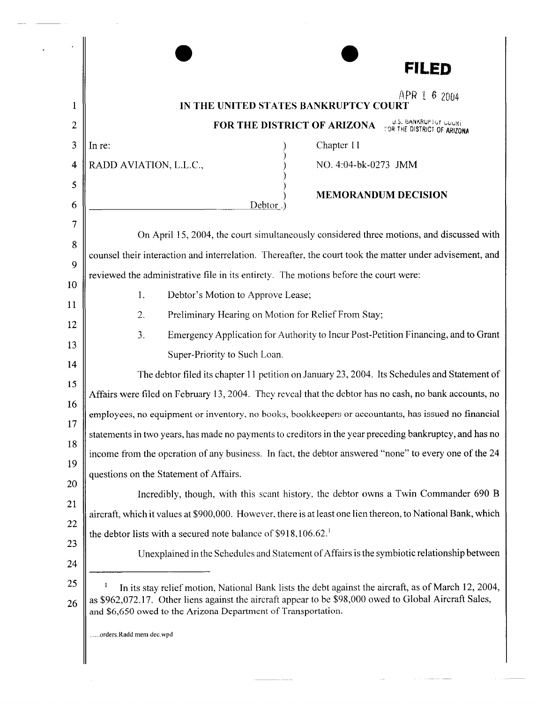|              | FILED                                                                                                                                                                   |
|--------------|-------------------------------------------------------------------------------------------------------------------------------------------------------------------------|
|              | APR 1 6 2004                                                                                                                                                            |
| 1            | IN THE UNITED STATES BANKRUPTCY COURT                                                                                                                                   |
| $\mathbf{2}$ | U.S. BANKRUPTUY LUUKI<br>FOR THE DISTRICT OF ARIZONA<br>FOR THE DISTRICT OF ARIZONA                                                                                     |
| 3            | Chapter 11<br>In re:                                                                                                                                                    |
| 4            | RADD AVIATION, L.L.C.,<br>NO. 4:04-bk-0273 JMM                                                                                                                          |
| 5            | <b>MEMORANDUM DECISION</b>                                                                                                                                              |
| 6            | Debtor.                                                                                                                                                                 |
| 7            | On April 15, 2004, the court simultaneously considered three motions, and discussed with                                                                                |
| 8            | counsel their interaction and interrelation. Thereafter, the court took the matter under advisement, and                                                                |
| 9            | reviewed the administrative file in its entirety. The motions before the court were:                                                                                    |
| 10           | 1.<br>Debtor's Motion to Approve Lease;                                                                                                                                 |
| 11           | Preliminary Hearing on Motion for Relief From Stay;<br>2.                                                                                                               |
| 12           | Emergency Application for Authority to Incur Post-Petition Financing, and to Grant<br>3.                                                                                |
| 13           | Super-Priority to Such Loan.                                                                                                                                            |
| 14           | The debtor filed its chapter 11 petition on January 23, 2004. Its Schedules and Statement of                                                                            |
| 15           | Affairs were filed on February 13, 2004. They reveal that the debtor has no cash, no bank accounts, no                                                                  |
| 16           | employees, no equipment or inventory, no books, bookkeepers or accountants, has issued no financial                                                                     |
| 17<br>18     | statements in two years, has made no payments to creditors in the year preceding bankruptcy, and has no                                                                 |
| 19           | income from the operation of any business. In fact, the debtor answered "none" to every one of the 24                                                                   |
| <b>20</b>    | questions on the Statement of Affairs.                                                                                                                                  |
| 21           | Incredibly, though, with this scant history, the debtor owns a Twin Commander 690 B                                                                                     |
| 22           | aircraft, which it values at \$900,000. However, there is at least one lien thereon, to National Bank, which                                                            |
| 23           | the debtor lists with a secured note balance of $$918,106.62$ <sup>1</sup>                                                                                              |
| 24           | Unexplained in the Schedules and Statement of Affairs is the symbiotic relationship between                                                                             |
| 25           | In its stay relief motion, National Bank lists the debt against the aircraft, as of March 12, 2004,                                                                     |
| 26           | as \$962,072.17. Other liens against the aircraft appear to be \$98,000 owed to Global Aircraft Sales,<br>and \$6,650 owed to the Arizona Department of Transportation. |
|              | orders.Radd mem dec.wpd                                                                                                                                                 |
|              |                                                                                                                                                                         |

 $\frac{1}{\sqrt{2\pi\left(1-\frac{1}{2}\right)}}\frac{1}{\sqrt{2\pi\left(1-\frac{1}{2}\right)}}\left(\frac{1}{\sqrt{2\pi\left(1-\frac{1}{2}\right)}}\right)=\frac{1}{2\sqrt{2\pi\left(1-\frac{1}{2}\right)}}\left(\frac{1}{\sqrt{2\pi\left(1-\frac{1}{2}\right)}}\right)=\frac{1}{2\sqrt{2\pi\left(1-\frac{1}{2}\right)}}\left(\frac{1}{\sqrt{2\pi\left(1-\frac{1}{2}\right)}}\right)=\frac{1}{2\sqrt{2\pi\left(1-\frac{1}{2}\right)}}\left(\frac{1}{\sqrt{$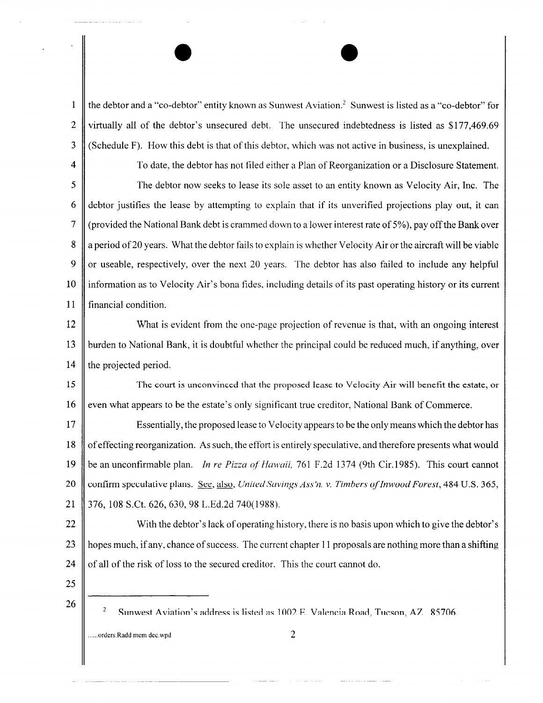1  $\parallel$  the debtor and a "co-debtor" entity known as Sunwest Aviation.<sup>2</sup> Sunwest is listed as a "co-debtor" for 2 virtually all of the debtor's unsecured debt. The unsecured indebtedness is listed as \$177,469.69 3 (Schedule F). How this debt is that of this debtor, which was not active in business, is unexplained.

 $\bullet$ 

4 To date, the debtor has not filed either a Plan of Reorganization or a Disclosure Statement. 5 The debtor now seeks to lease its sole asset to an entity known as Velocity Air, Inc. The 6 debtor justifies the lease by attempting to explain that if its unverified projections play out, it can 7  $\parallel$  (provided the National Bank debt is crammed down to a lower interest rate of 5%), pay off the Bank over 8 || a period of 20 years. What the debtor fails to explain is whether Velocity Air or the aircraft will be viable 9  $\parallel$  or useable, respectively, over the next 20 years. The debtor has also failed to include any helpful 10 information as to Velocity Air's bona fides, including details of its past operating history or its current 11 financial condition.

12 What is evident from the one-page projection of revenue is that, with an ongoing interest 13 burden to National Bank, it is doubtful whether the principal could be reduced much, if anything, over 14  $\parallel$  the projected period.

15 The court is unconvinced that the proposed lease to Velocity Air will benefit the estate, or 16 even what appears to be the estate's only significant true creditor, National Bank of Commerce.

17 Essentially, the proposed lease to Velocity appears to be the only means which the debtor has 18 of effecting reorganization. As such, the effort is entirely speculative, and therefore presents what would 19 be an unconfirmable plan. *In re Pizza of' Hawaii,* 761 F.2d 1374 (9th Cir.1985). This court cannot 20 confirm speculative plans. See, also, *United Savings Ass'n. v. Timbers of Inwood Forest*, 484 U.S. 365, 21 376, 108 S.Ct. 626, 630, 98 L.Ed.2d 740(1988).

22 With the debtor's lack of operating history, there is no basis upon which to give the debtor's 23 hopes much, if any, chance of success. The current chapter 11 proposals are nothing more than a shifting 24  $\parallel$  of all of the risk of loss to the secured creditor. This the court cannot do.

- 25
- 

......orders.Radd mem dec.wpd  $2$ 

<sup>26 26</sup> Sunwest Aviation's address is listed as 1002 E. Valencia Road, Tucson, AZ 85706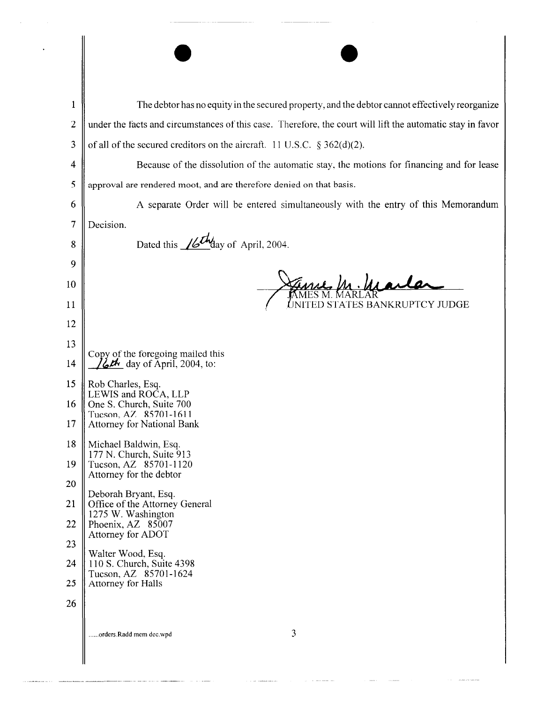| $\mathbf 1$<br>$\overline{2}$<br>3<br>4<br>5<br>6<br>7<br>8<br>9<br>10<br>11           | The debtor has no equity in the secured property, and the debtor cannot effectively reorganize<br>under the facts and circumstances of this case. Therefore, the court will lift the automatic stay in favor<br>of all of the secured creditors on the aircraft. 11 U.S.C. $\S 362(d)(2)$ .<br>Because of the dissolution of the automatic stay, the motions for financing and for lease<br>approval are rendered moot, and are therefore denied on that basis.<br>A separate Order will be entered simultaneously with the entry of this Memorandum<br>Decision.<br>Dated this $\sqrt{\mathcal{L}M}$ day of April, 2004.<br>ED STATES BANKRUPTCY JUDGE |
|----------------------------------------------------------------------------------------|---------------------------------------------------------------------------------------------------------------------------------------------------------------------------------------------------------------------------------------------------------------------------------------------------------------------------------------------------------------------------------------------------------------------------------------------------------------------------------------------------------------------------------------------------------------------------------------------------------------------------------------------------------|
| 12<br>13<br>14<br>15<br>16<br>17<br>18<br>19<br>20<br>21<br>22<br>23<br>24<br>25<br>26 | Copy of the foregoing mailed this<br>$\mathcal{L}\mathcal{L}\mathbf{h}$ day of April, 2004, to:<br>Rob Charles, Esq.<br>LEWIS and ROCA, LLP<br>One S. Church, Suite 700<br>Tucson, AZ 85701-1611<br><b>Attorney for National Bank</b><br>Michael Baldwin, Esq.<br>177 N. Church, Suite 913<br>Tucson, AZ 85701-1120<br>Attorney for the debtor<br>Deborah Bryant, Esq.<br>Office of the Attorney General<br>1275 W. Washington<br>Phoenix, AZ 85007<br>Attorney for ADOT<br>Walter Wood, Esq.<br>110 S. Church, Suite 4398<br>Tucson, AZ 85701-1624<br>Attorney for Halls                                                                               |
|                                                                                        | 3<br>orders.Radd mem dec.wpd                                                                                                                                                                                                                                                                                                                                                                                                                                                                                                                                                                                                                            |